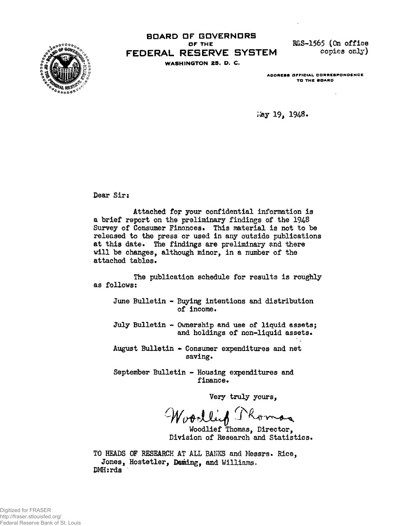

## **BOARD OF GDVERNDRS OF THE R&S-1565 (On office**<br>**FSFRVF SYSTEM** copies only) **FEDERAL RESERVE SYSTEM WASHINGTON 25. D. C.**

**ADDRESS OFFICIAL CORRESPONDENCE TO THE BOARD**

**May 19, 1948.**

**Dear Sir:**

**Attached for your confidential information is** a brief report on the preliminary findings of the 1948 Survey of Consumer Finances. This material is not to be **released to the press or used in any outside publications at this date. The findings are preliminary and there will be changes, although minor, in a number of the attached tables.**

**The publication schedule for results is roughly as follows:**

**June Bulletin - Buying intentions and distribution of income.**

**July Bulletin - Ownership and use of liquid assets; and holdings of non-liquid assets.**

**August Bulletin + Consumer expenditures and net** saving.

**September Bulletin - Housing expenditures and finance.**

Very truly yours,

Thomas

**Woodlief Thomas, Director, Division of Research and Statistics.**

**TO HEADS OF RESEARCH AT ALL BANKS and Messrs. Rice,** Jones, Hostetler, Deming, and Williams. **DMH:rds**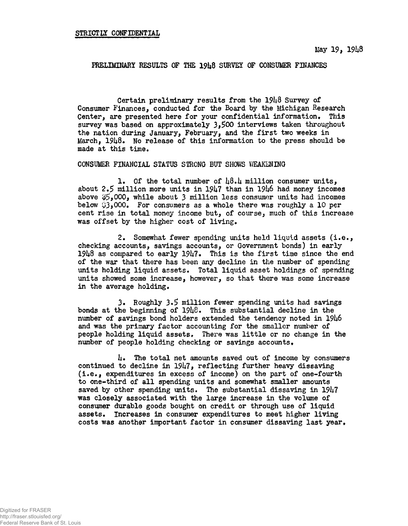PRELIMINARY RESULTS OF THE 1918 SURVEY OF CONSUMER FINANCES

Certain preliminary results from the  $19\mu8$  Survey of Consumer Finances, conducted for the Board by the Michigan Research Center, are presented here for your confidential information• This survey was based on approximately  $3,500$  interviews taken throughout the nation during January, February, and the first two weeks in March, 1948. No release of this information to the press should be made at this time.

CONSUMER FINANCIAL STATUS STRONG BUT SHOWS WEAKENING

1. Of the total number of  $\mu\beta_*\mu$  million consumer units, about 2.S million more units in 19h7 than in 19U6 had money incomes above \$5,000, while about 3 million less consumer units had incomes below  $93,000$ . For consumers as a whole there was roughly a 10 per cent rise in total money income but, of course, much of this increase was offset by the higher cost of living.

2. Somewhat fewer spending units held liquid assets  $(i.e.,$ checking accounts, savings accounts, or Government bonds) in early  $1948$  as compared to early  $1947$ . This is the first time since the end of the war that there has been any decline in the number of spending units holding liquid assets. Total liquid asset holdings of spending units showed some increase, however, so that there was some increase in the average holding.

3. Roughly 3.5 million fewer spending units had savings bonds at the beginning of  $1948$ . This substantial decline in the number of savings bond holders extended the tendency noted in 1946 and was the primary factor accounting for the smaller number of people holding liquid assets• There was little or no change in the number of people holding checking or savings accounts.

U» The total net amounts saved out of income by consumers continued to decline in  $1947$ , reflecting further heavy dissaving (i.e\*, expenditures in excess of income) on the part of one-fourth to one-third of all spending units and somewhat smaller amounts saved by other spending units. The substantial dissaving in 1947 was closely associated with the large increase in the volume of consumer durable goods bought on credit or through use of liquid assets. Increases in consumer expenditures to meet higher living costs was another important factor in consumer dissaving last year.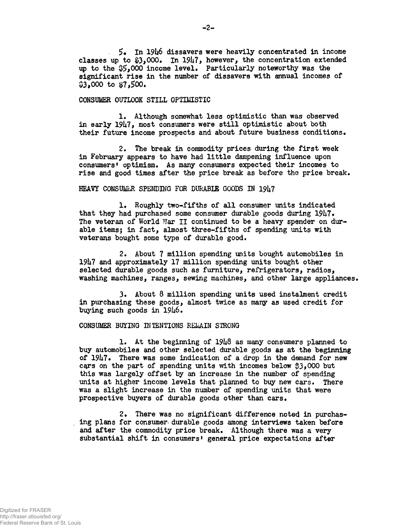**. 5« In 19U6 dissavers were heavily concentrated in income** classes up to \$3,000. In 1947, however, the concentration extended **up to the \$5\*000 income level\* Particularly noteworthy was the significant rise in the number of dissavers with annual incomes of \$3,000 to \$7,500\***

#### **CONSUMER OUTLOOK STILL OPTIMISTIC**

1. Although somewhat less optimistic than was observed **in early 19U7, most consumers were still optimistic about both their future income prospects and about future business conditions•**

**2\* The break in commodity prices during the first week in February appears to have had little dampening influence upon consumers<sup>1</sup> optimism\* As many consumers expected their incomes to rise and good times after the price break as before the price break.**

#### HEAVY CONSUMER SPENDING FOR DURABLE GOODS IN 1947

1. Roughly two-fifths of all consumer units indicated **that they had purchased some consumer durable goods during 19h7« The veteran of World War II continued to be a heavy spender on dur~ able itemsj in fact, almost three-fifths of spending units with veterans bought some type of durable good,**

**2\* About 7 million spending units bought automobiles in 19U7 and approximately 17 million spending units bought other selected durable goods such as furniture, refrigerators, radios, washing machines, ranges, sewing machines, and other large appliances1**

**3« About 8 million spending units used instalment credit in purchasing these goods, almost twice as many as used credit for** buying such goods in 1946.

#### **CONSUMER BUYING INTENTIONS REiaAIN STRONG**

**!• At the beginning of 19U8 as many consumers planned to buy automobiles and other selected durable goods as at the beginning of 19ti7# There was some indication of a drop in the demand for new c\$rs on the part of spending units with incomes below \$3\*000 but this was largely offset by an increase in the number of spending units at higher income levels that planned to buy new cars\* There was a slight increase in the number of spending units that were** prospective buyers of durable goods other than cars.

2. There was no significant difference noted in purchas**ing plans for consumer- durable goods among interviews taken before** and after the commodity price break. Although there was a very **substantial shift in consumers<sup>1</sup> general price expectations after**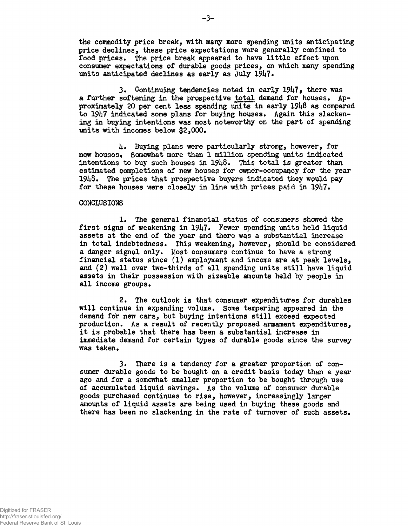**the commodity price break, with many more spending units anticipating price declines, these price expectations were generally confined to food prices» The price break appeared to have little effect upon consumer expectations of durable goods prices, on which many spending** units anticipated declines as early as July 1947.

**3. Continuing tendencies noted in early 19U7\* there was** a further softening in the prospective total demand for houses. Ap**proximately 20 p§r cent less spending units in early 19U8 as compared to 191\*7 indicated some plans for buying houses. Again this slackening in buying intentions was most noteworthy on the part of spending** units with incomes below \$2,000.

**U« Buying plans were particularly strong, however, for new houses, Somewhat more than 1 million spending units indicated** intentions to buy such houses in 19h8. This total is greater than **estimated completions of now houses for owner-occupancy for the year 19U8\* The prices that prospective buyers indicated they would pay** for these houses were closely in line with prices paid in 1947.

#### **CONCLUSIONS**

**1. The general financial status of consumers showed the** first signs of weakening in 1947. Fewer spending units held liquid **assets at the end of the year and there was a substantial increase in total indebtedness• This weakening, however, should be considered a danger signal only. Most consumers continue to have a strong financial status since (1) employment and income are at peak levels,** and (2) well over two-thirds of all spending units still have liquid **assets in their possession with sizeable amounts held by people in all income groups•**

**2# The outlook is that consumer expenditures for durables will continue in expanding volume. Some tempering appeared in the demand for new cars, but buying intentions still exceed expected production\* As a result of recently proposed armament expenditures, it is probable that there has been a substantial increase in immediate demand for certain types of durable goods since the survey was taken.**

**3. There is a tendency for a greater proportion of consumer durable goods to be bought on a credit basis today than a year ago and for a somewhat smaller proportion to be bought through use of accumulated liquid savings. As the volume of consumer durable goods purchased continues to rise, however, increasingly larger amounts of liquid assets are being used in buying these goods and there has been no slackening in the rate of turnover of such assets•**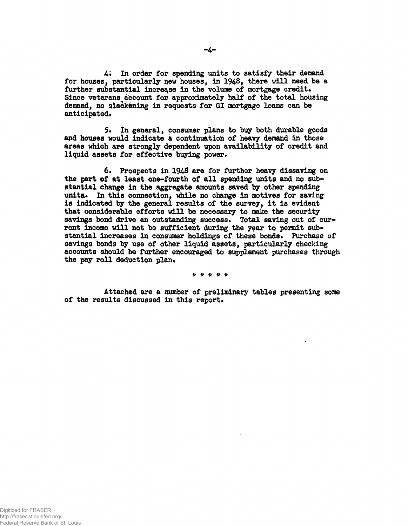**4\* In order for spending units to satisfy their demand** for houses, particularly new houses, in 1948, there will need be a further substantial increase in the volume of mortgage credit. **Since veterans account for approximately half of the total housing demand, no slackening in requests for GI mortgage loans can be** anticipated.

**5\* In general, consumer plans to buy both durable goods and houses would indicate a continuation of heavy demand in those areas which are strongly dependent upon availability of credit and liquid assets for effective buying power.**

**6. Prospects in 1948 are for further heavy dissaving on the part of at least one-fourth of all spending units and no substantial change in the aggregate amounts saved by other spending** unita. In this connection, while no change in motives for saving **is indicated by the general results of the survey, it is evident that considerable efforts will be necessary to make the security** savings bond drive an outstanding success. Total saving out of cur**rent income will not be sufficient during the year to permit sub**stantial increases in consumer holdings of these bonds. Purchase of **savings bonds by use of other liquid assets, particularly checking accounts should be further encouraged to supplement purchases through** the pay roll deduction plan.

\* \* \* \* \*

**Attached are a number of preliminary tables presenting some** of the results discussed in this report.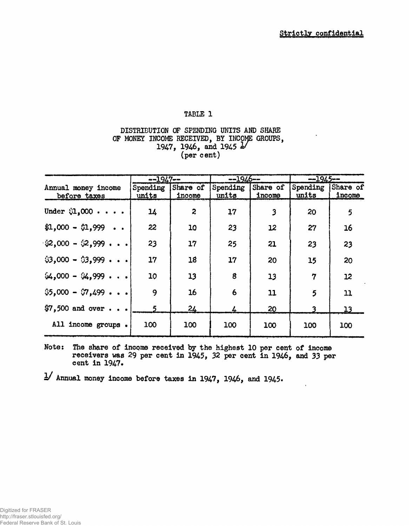## **DISTRIBUTION OF SPENDING UNITS AND SHARE OF MONEY INCOME RECEIVED, BY INCOME GROUPS, 1947, 1946, and 1945 2/ (per cent)**

|                                       | $-1947-$          |                    | $-1946-$          |                         | $-1945-$                   |               |
|---------------------------------------|-------------------|--------------------|-------------------|-------------------------|----------------------------|---------------|
| Annual money income<br>before taxes   | Spending<br>units | Share of<br>income | Spending<br>units | Share of<br>income      | Spending Share of<br>units | income        |
| Under $\mathcal{L}$ ,000              | 14                | $\boldsymbol{z}$   | 17                | $\overline{\mathbf{3}}$ | 20                         | 5             |
| $$1,000 - $1,999$                     | 22                | 10                 | 23                | 12                      | 27                         | 16            |
| $\$2,000 - \$2,999$                   | 23                | 17                 | 25                | 21                      | 23                         | 23            |
| $$3,000 - $3,999 + \cdots$            | 17                | 18                 | 17                | 20                      | 15                         | 20            |
| $64,000 - 64,999$                     | 10                | 13                 | 8                 | 13                      | 7                          | 12            |
| $$5,000 - $7,499 + \cdot$$            | 9                 | 16                 | 6                 | 11                      | 5                          | $\mathbf{11}$ |
| $$7,500$ and over $\cdot \cdot \cdot$ |                   | 24                 |                   | 20                      |                            | 13            |
| All income groups.                    | 100               | 100                | 100               | 100                     | 100                        | 100           |

**Note: The share of incqme received by the highest 10 per cent of income receivers was 29 per cent in 1945, 32 per cent in 1946, and 33 per cent in 1947\***

**y Annual money income before taxes in 1947, 1946, and 1945.**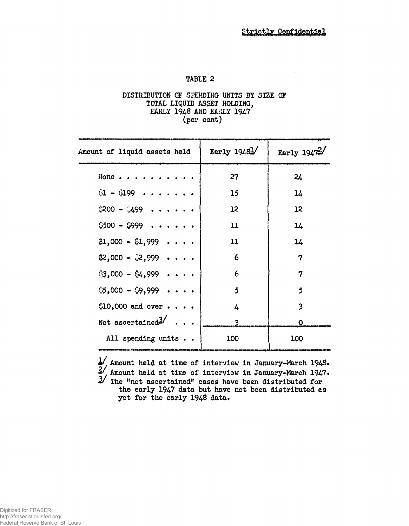### DISTRIBUTION OF SPENDING UNITS BY SIZE OF TOTAL LIQUID ASSET HOLDING, EARLY 1948 AND EARLY 1947 (per cent)

| Amount of liquid assets held              | Early $1948$ <sup><math>\frac{1}{2}</math></sup> | Early $1947^2$          |
|-------------------------------------------|--------------------------------------------------|-------------------------|
| None                                      | 27                                               | 24                      |
| $$1 - $199$                               | 15                                               | 14                      |
| $$200 - $499$                             | 12 <sup>°</sup>                                  | 12                      |
| $$500 - $999 + \cdots$                    | 11                                               | 14                      |
| $$1,000 - $1,999 \cdot \cdot \cdot \cdot$ | 11                                               | 14                      |
| $$2,000 - $2,999 \cdot \cdot \cdot \cdot$ | 6                                                | 7                       |
| $$3,000 - $4,999 \cdot \cdot \cdot \cdot$ | 6                                                | 7                       |
| $$5,000 - $9,999 \cdot \cdot \cdot$$      | 5                                                | 5                       |
| $$10,000$ and over $\cdot \cdot \cdot$    | 4                                                | $\overline{\mathbf{3}}$ |
| Not ascertained <sup>3/</sup>             |                                                  | Ο                       |
| All spending units                        | 100                                              | 100                     |

 $\pm$ / Amount held at time of interview in January-March 1948.  $2^{\frac{1}{2}}$ , Amount held at time of interview in January-March 1947.  $\mathcal Z$  The "not ascertained" cases have been distributed for the early 1947 data but have not been distributed as yet for the early 1948 data.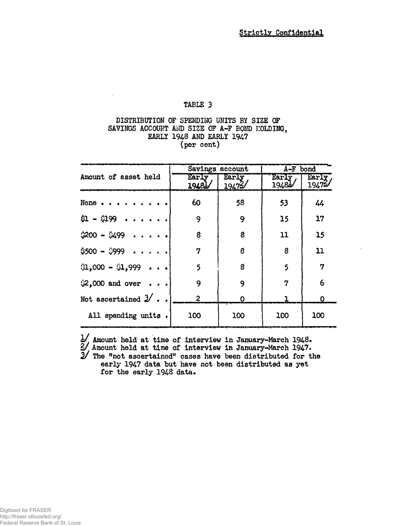## **DISTRIBUTION OF SPENDING UNITS BY SIZE OP** SAVINGS ACCOUNT AND SIZE OF A-F BOND HOLDING, **EARLY 1948 AND EARLY 1947 (per cent)**

|                                     |                | Savings account | A-F bond        |                  |  |  |
|-------------------------------------|----------------|-----------------|-----------------|------------------|--|--|
| Amount of asset held                | Early<br>19481 | Early<br>19472/ | Early,<br>1948L | Early,<br>19472/ |  |  |
| None                                | 60             | 58              | 53              | 44               |  |  |
| $$1 - $199$                         | 9              | 9               | 15              | 17               |  |  |
| $$200 - $499 \cdot$                 | 8              | 8               | 11              | 15               |  |  |
| $$500 - $999$                       | 7              | 8               | 8               | 11               |  |  |
| $(1,000 - 0.999 \cdot \cdot \cdot)$ | 5              | 8               | 5               | 7                |  |  |
| \$2,000 and over                    | 9              | 9               | 7               | 6                |  |  |
| Not ascertained $2'$                | $\mathbf{2}$   | O               |                 | $\mathbf 0$      |  |  |
| All spending units.                 | 100            | 100             | 100             | 100              |  |  |

**U Amount held at time of interview in January-March 1948« 2/ Amount held at time of interview in January~March 1947• 2/ The ftnot ascertained" cases have been distributed for the early 1947 data but have not been distributed as yet** for the early 1948 data.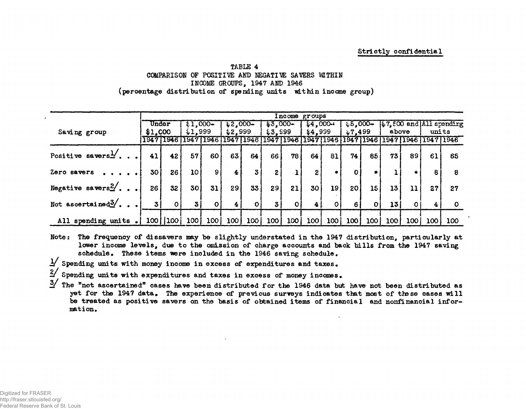#### **Strictly confidential**

#### **TABLE 4 COMPARISON OF POSITIVE AND NEGATIVE SAVERS MTHIN INCOME GROUPS, 1947 AND 1946 (percentage distribution of spending units within income group)**

|                                 |         | Income groups   |                 |                |           |              |              |             |                |        |                 |              |       |         |                                         |                                      |
|---------------------------------|---------|-----------------|-----------------|----------------|-----------|--------------|--------------|-------------|----------------|--------|-----------------|--------------|-------|---------|-----------------------------------------|--------------------------------------|
|                                 | Under   |                 | $$1,000-$       |                | $2,000 -$ |              | $$3,000-$    |             | \$4,000        |        | $$5,000-$       |              |       |         |                                         | $\frac{1}{2}$ 7.500 and All spending |
| Saving group                    | \$1,000 |                 | 1,999           |                | 2,999     |              | 13.999       |             | \$4,999        |        | $*7,499$        |              | above |         | units                                   |                                      |
|                                 | 19471   | 1946            | 1947            | 11946 1        |           | 194711946    |              | 1947   1946 | 1947 1946      |        |                 |              |       |         | 1947   1946   1947   1946   1947   1946 |                                      |
| Positive savers $\frac{1}{2}$   | 41      | 42 <sub>1</sub> | 57              | 60             | 63        | 64           | 66           | 78          | 64             | 81     | 74              | 85           | 73,   | 89      | 61                                      | 65                                   |
| Zero savers                     | 30      | 26              | 10 <sub>1</sub> | 9 <sub>1</sub> | 4         | 3            | $\mathbf{2}$ |             | 2 <sub>1</sub> | $\ast$ |                 |              |       |         | 8                                       | 8                                    |
| Negative savers $\frac{2}{ }$ . | 26      | 32              | 30 <sub>1</sub> | 31             | 29        | 33           | 29           | 21          | 30             | 19     | 20 <sub>1</sub> | 15           | 13    | 11      | 27                                      | 27                                   |
| Not ascertained $\frac{3}{2}$ . | 3       | 0               | $\mathbf{3}$    | 0              | 4         | $\mathbf{O}$ | 3            | $\mathbf 0$ | 4 L            | ΟI     | 6.              | $\mathbf{o}$ | 13    | $\circ$ | 4                                       |                                      |
| All spending units.             | 100     | 100             | 100             | 100            | 100       | 100          | 100          | 100         | 100            | 100    | 100             | 100          | 100   | 100 i   | 100                                     | 100                                  |

**Note: The frequency of dissavers may be slightly understated in the 1947 distribution, particularly at lower income levels, due to the omission of charge accounts and back bills from the 1947 saving** schedule. These items were included in the 1946 saving schedule.

- **Spending units with money income in excess of expenditures and taxes.**
- **Spending units with expenditures and taxes in excess of money incomes•**
- **iV The "not ascertained" cases have been distributed for the 1946 data but have not been distributed as yet for the 1947 data. The experience of previous surveys indicates that most of these cases will be treated as positive savers on the basis of obtained items of financial and nonfinancial information.**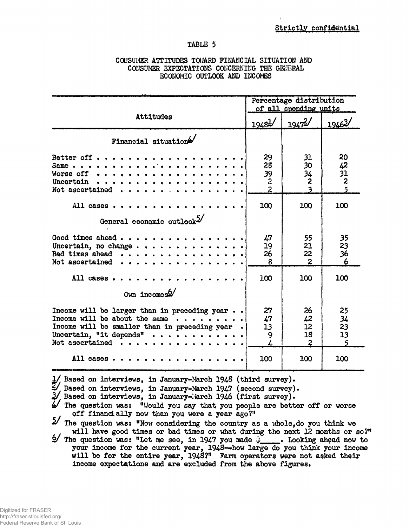$\mathbf{1}$ 

# **TABLE 5**

### **CONSUMER ATTITUDES TOWARD FINANCIAL SITUATION AND CONSUMER EXPECTATIONS CONCERNING THE GENERAL ECONOMIC OUTLOOK AND INCOMES**

|                                                                                                                                                                                                                                                                                                                                                                                                                                                                                                                                                                                                                                                                                                                                                                                                                                     |                                                      | Percentage distribution<br>of all spending units |                                        |
|-------------------------------------------------------------------------------------------------------------------------------------------------------------------------------------------------------------------------------------------------------------------------------------------------------------------------------------------------------------------------------------------------------------------------------------------------------------------------------------------------------------------------------------------------------------------------------------------------------------------------------------------------------------------------------------------------------------------------------------------------------------------------------------------------------------------------------------|------------------------------------------------------|--------------------------------------------------|----------------------------------------|
| Attitudes                                                                                                                                                                                                                                                                                                                                                                                                                                                                                                                                                                                                                                                                                                                                                                                                                           | $1948$ <sup>1</sup>                                  | $1947^2$                                         | 19463/                                 |
| Financial situation4                                                                                                                                                                                                                                                                                                                                                                                                                                                                                                                                                                                                                                                                                                                                                                                                                |                                                      |                                                  |                                        |
| Better off $\cdots$<br>Worse off $\cdots$ ,<br>Uncertain $\cdots$<br>Not ascertained $\cdots$                                                                                                                                                                                                                                                                                                                                                                                                                                                                                                                                                                                                                                                                                                                                       | 29<br>28<br>39<br>$\boldsymbol{2}$<br>$\overline{2}$ | 31<br>30<br>34<br>2                              | 20<br>$\frac{42}{31}$<br>$\frac{2}{5}$ |
| All cases                                                                                                                                                                                                                                                                                                                                                                                                                                                                                                                                                                                                                                                                                                                                                                                                                           | 100                                                  | 100                                              | 100                                    |
| General economic outlook2                                                                                                                                                                                                                                                                                                                                                                                                                                                                                                                                                                                                                                                                                                                                                                                                           |                                                      |                                                  |                                        |
| Good times ahead $\cdots$<br>Uncertain, no change<br>Bad times ahead $\cdots$ ,<br>Not ascertained<br>.                                                                                                                                                                                                                                                                                                                                                                                                                                                                                                                                                                                                                                                                                                                             | 47<br>19<br>26<br>8                                  | 55<br>21<br>22<br>$\overline{2}$                 | 35<br>23<br>36<br>6                    |
| All cases.                                                                                                                                                                                                                                                                                                                                                                                                                                                                                                                                                                                                                                                                                                                                                                                                                          | 100                                                  | 100                                              | 100                                    |
| $0$ wn incomes <sup>6</sup> /                                                                                                                                                                                                                                                                                                                                                                                                                                                                                                                                                                                                                                                                                                                                                                                                       |                                                      |                                                  |                                        |
| Income will be larger than in preceding year $\cdot \cdot$<br>Income will be about the same $\cdots$<br>Income will be smaller than in preceding year.<br>Uncertain, "it depends" $\cdots$<br>Not ascertained $\cdots$                                                                                                                                                                                                                                                                                                                                                                                                                                                                                                                                                                                                              | 27<br>47<br>13<br>9                                  | 26<br>42<br>12<br>18<br>$\overline{2}$           | 25<br>34<br>23<br>13                   |
| All cases $\cdots$ $\cdots$                                                                                                                                                                                                                                                                                                                                                                                                                                                                                                                                                                                                                                                                                                                                                                                                         | 100                                                  | 100                                              | 100                                    |
| 1/ Based on interviews, in January-March 1948 (third survey).<br>4/ Based on interviews, in January-March 1947 (second survey).<br>2/ Based on interviews, in January-March 1946 (first survey).<br>$4$ The question was: "Would you say that you people are better off or worse<br>off financially now than you were a year ago?"<br>$5/$ The question was: "Now considering the country as a whole, do you think we<br>will have good times or bad times or what during the next 12 months or so?"<br>$\mathcal{L}$ The question was: "Let me see, in 1947 you made $\mathcal{L}$ . Looking ahead now to<br>your income for the current year, 1948--how large do you think your income<br>will be for the entire year, 1948?" Farm operators were not asked their<br>income expectations and are excluded from the above figures. |                                                      |                                                  |                                        |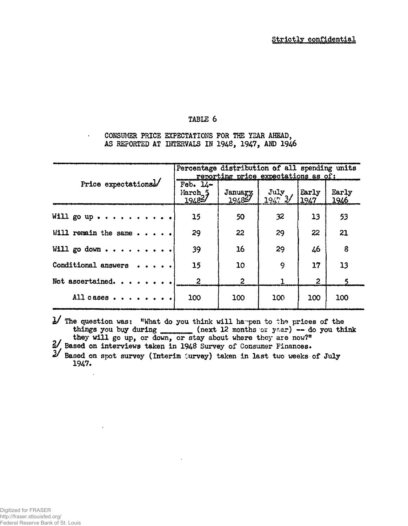**CONSUMER PRICE EXPECTATIONS FOR THE YEAR AHEAD, AS REPORTED AT INTERVALS IN 1948, 1947, AND 194.6**

|                                | Percentage distribution of all spending units<br>reporting price expectations as of: |                   |                                  |                |                       |  |  |  |
|--------------------------------|--------------------------------------------------------------------------------------|-------------------|----------------------------------|----------------|-----------------------|--|--|--|
| Price expectations!            | Feb. $14-$<br>March <sub>2</sub> 5<br>19482/                                         | January<br>194827 | $\frac{Ju\downarrow v}{1947}$ 3/ | Early<br>1947  | Early<br>1946         |  |  |  |
| Will go up $\cdots$            | 15                                                                                   | 50                | 32                               | 13             | 53                    |  |  |  |
| Will remain the same $\cdots$  | 29                                                                                   | 22                | 29                               | 22             | 21                    |  |  |  |
| Will go down $\cdots$          | 39                                                                                   | 16                | 29                               | 46             | 8                     |  |  |  |
| Conditional answers $\cdots$ . | 15                                                                                   | 10                | 9                                | 17             | 13                    |  |  |  |
| Not ascertained.               | $\boldsymbol{2}$                                                                     | $\overline{2}$    |                                  | $\overline{2}$ | $\boldsymbol{\kappa}$ |  |  |  |
| All cases $\cdots$ $\cdots$    | 100                                                                                  | 100               | 100                              | 100            | 100                   |  |  |  |

 $\mathbf{y}$  The question was: "What do you think will happen to the prices of the things you buy during \_\_\_\_\_\_ (next 12 months or year) -- do you think **they will go up, or down, or stay about where they are now?"**

**Based on interviews taken in 1948 Survey of Consumer Finances.**

**Based on spot survey (Interim purvey) taken in last two weeks of July 1947.**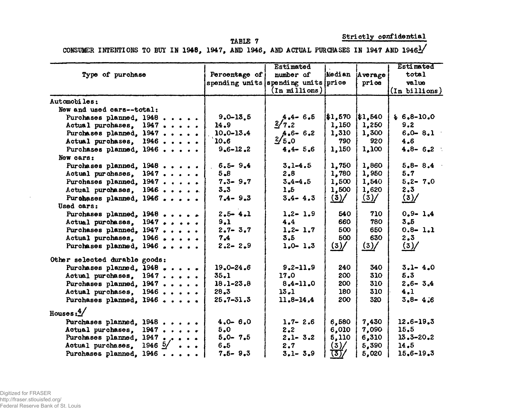**XABXE 7**

**Strictly confidential**

| CONSUMER INTENTIONS TO BUY IN 1948, 1947, AND 1946, AND ACTUAL PURCHASES IN 1947 AND 19461 |  |  |  |  |  |  |  |
|--------------------------------------------------------------------------------------------|--|--|--|--|--|--|--|
|                                                                                            |  |  |  |  |  |  |  |

|                                     |                 | Estimated                           |                 |                 |                 |
|-------------------------------------|-----------------|-------------------------------------|-----------------|-----------------|-----------------|
| Type of purchase                    | Percentage of   | number of                           |                 | Median Average  | total           |
|                                     |                 | spending units spending units price |                 | price           | value           |
|                                     |                 | $(In$ millions $)$                  |                 |                 | (In billions)   |
| Automobiles:                        |                 |                                     |                 |                 |                 |
| New and used cars--total:           |                 |                                     |                 |                 |                 |
| Purchases planned, 1948             | $9,0 - 13,5$    | $4.4 - 6.5$                         | 1, 570          | 1, 540          | $$6.8-10.0$     |
| Actual purchases, 1947              | 14.9            | 2/7.2                               | 1,150           | 1,250           | 9.2             |
| Purchases planned, 1947             | $10.0 - 13.4$   | $4.6 - 6.2$                         | $1,310$         | 1,300           | $6.0 - 8.1$     |
| Actual purchases, 1946              | 10.6            | 2/5.0                               | 790             | 920             | 4.6             |
| Purchases planned, 1946             | $9.6 - 12.2$    | $4.4 - 5.6$                         | 1,150           | 1,100           | $4.8 - 6.2$     |
| New cars:                           |                 |                                     |                 |                 |                 |
| Purchases planned, 1948             | $6.5 - 9.4$     | $3, 1 - 4, 5$                       | 1,750           | 1,860           | $5.8 - 8.4$     |
| Actual purchases, 1947              | 5,8             | 2.8                                 | 1,780           | 1,950           | 5.7             |
| Purchases planned, 1947             | $7.3 - 9.7$     | $3 - 4 - 4.5$                       | 1,500           | 1,540           | $5.2 - 7.0$     |
| Actual purchases, 1946              | $3 - 3$         | 1.5                                 | 1,500           | 1,620           | 2.3             |
| Purchases planned, 1946             | $7.4 - 9.3$     | $3.4 - 4.3$                         | $\frac{(3)}{2}$ | $\frac{(3)}{2}$ | $\frac{(3)}{2}$ |
| Used cars:                          |                 |                                     |                 |                 |                 |
| Purchases planned, 1948             | $2.5 - 4.1$     | $1.2 - 1.9$                         | 540             | 710             | $0.9 - 1.4$     |
| Actual purchases, 1947              | 9.1             | 4.4                                 | 660             | 780             | $3 - 5$         |
| Purchases planned, 1947             | $2.7 - 3.7$     | $1, 2 - 1, 7$                       | 500             | 650             | $0.8 - 1.1$     |
| Actual purchases, 1946              | 7.4             | 3.5                                 | 500             | 630             | 2,3             |
| Purchases planned, 1946             | $2.2 - 2.9$     | $1,0 - 1,3$                         | (3)             | $\frac{(3)}{2}$ | $(3)$ /         |
| Other selected durable goods:       |                 |                                     |                 |                 |                 |
| Purchases planned, 1948             | $19.0 - 24.6$   | $9, 2 - 11, 9$                      | 240             | 340             | $3 - 1 - 4.0$   |
| Actual purchases, 1947              | $35 - 1$        | 17.0                                | 200             | 310             | 5.3             |
| Purchases planned, 1947             | $18.1 - 23.8$   | $8.4 - 11.0$                        | 200             | 310             | $2.6 - 3.4$     |
| Actual purchases, 1946              | 28.3            | $13 - 1$                            | 180             | 310             | 4.1             |
| Purchases planned, 1946             | $25, 7 - 31, 3$ | $11.8 - 14.4$                       | 200             | 320             | $3.8 - 4.6$     |
| Houses: $\frac{4}{3}$               |                 |                                     |                 |                 |                 |
| Purchases planned. 1948             | $4.0 - 6.0$     | $1.7 - 2.6$                         | 6,580           | 7,430           | $12.6 - 19.3$   |
| Actual purchases, 1947              | 5.0             | 2.2                                 | 6,010           | 7,090           | 15.5            |
| Purchases planned, 1947             | $5.0 - 7.5$     | $2.1 - 3.2$                         | 5,110           | 6,310           | $13.3 - 20.2$   |
| Actual purchases, $1946\frac{5}{ }$ | $6 - 5$         | 2.7                                 | (3) /           | 5,390           | 14.5            |
| Purchases planned, 1946             | $7.5 - 9.3$     | $3.1 - 3.9$                         | (3)/            | 5,020           | $15,6 - 19,3$   |

 $\sim$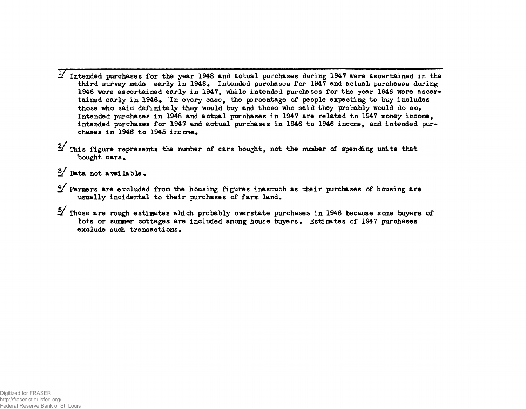- $1/$  Intended purchases for the year 1948 and actual purchases during  $1947$  were ascertained in the **third survey made early in 1948. Intended purchases for 1947 and actuali purchases during** 1946 were ascertained early in 1947, while intended purchases for the year 1946 were ascertained early in 1946. In every case, the percentage of people expecting to buy includes **those who said definitely they would buy and those who said they probably would do so# Intended purchases in 1948 and actual purchases in 1947 are related to 1947 money income, intended purchases for 1947 and actual purchases in 1946 to 1946 income, and intended pur**chases in 1946 to 1945 income.
- **This figure represents the number of cars bought, not the number of spending units that** bought cars.
- **Data not available•**
- *\$/* **Farmers are excluded from the housing figures inasmuch as their purchases of housing are** usually incidental to their purchases of farm land.
- **These are rough estimates which probably overstate purchases in 1946 because seme buyers of lots or summer cottages are included among house buyers • Estimates of 1947 purchases** exclude such transactions.